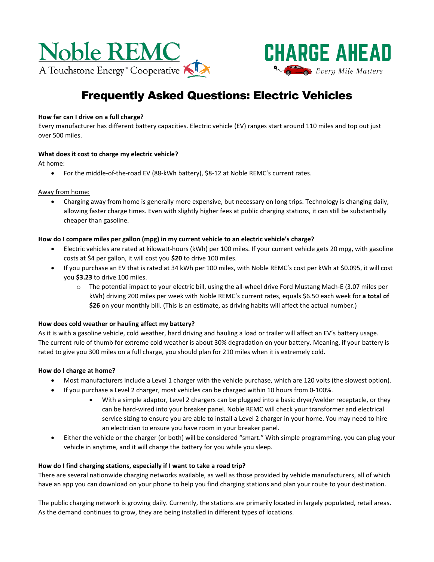



# Frequently Asked Questions: Electric Vehicles

## **How far can I drive on a full charge?**

Every manufacturer has different battery capacities. Electric vehicle (EV) ranges start around 110 miles and top out just over 500 miles.

## **What does it cost to charge my electric vehicle?**

At home:

• For the middle-of-the-road EV (88-kWh battery), \$8-12 at Noble REMC's current rates.

## Away from home:

• Charging away from home is generally more expensive, but necessary on long trips. Technology is changing daily, allowing faster charge times. Even with slightly higher fees at public charging stations, it can still be substantially cheaper than gasoline.

## **How do I compare miles per gallon (mpg) in my current vehicle to an electric vehicle's charge?**

- Electric vehicles are rated at kilowatt-hours (kWh) per 100 miles. If your current vehicle gets 20 mpg, with gasoline costs at \$4 per gallon, it will cost you **\$20** to drive 100 miles.
- If you purchase an EV that is rated at 34 kWh per 100 miles, with Noble REMC's cost per kWh at \$0.095, it will cost you **\$3.23** to drive 100 miles.
	- o The potential impact to your electric bill, using the all-wheel drive Ford Mustang Mach-E (3.07 miles per kWh) driving 200 miles per week with Noble REMC's current rates, equals \$6.50 each week for **a total of \$26** on your monthly bill. (This is an estimate, as driving habits will affect the actual number.)

## **How does cold weather or hauling affect my battery?**

As it is with a gasoline vehicle, cold weather, hard driving and hauling a load or trailer will affect an EV's battery usage. The current rule of thumb for extreme cold weather is about 30% degradation on your battery. Meaning, if your battery is rated to give you 300 miles on a full charge, you should plan for 210 miles when it is extremely cold.

## **How do I charge at home?**

- Most manufacturers include a Level 1 charger with the vehicle purchase, which are 120 volts (the slowest option).
- If you purchase a Level 2 charger, most vehicles can be charged within 10 hours from 0-100%.
	- With a simple adaptor, Level 2 chargers can be plugged into a basic dryer/welder receptacle, or they can be hard-wired into your breaker panel. Noble REMC will check your transformer and electrical service sizing to ensure you are able to install a Level 2 charger in your home. You may need to hire an electrician to ensure you have room in your breaker panel.
- Either the vehicle or the charger (or both) will be considered "smart." With simple programming, you can plug your vehicle in anytime, and it will charge the battery for you while you sleep.

## **How do I find charging stations, especially if I want to take a road trip?**

There are several nationwide charging networks available, as well as those provided by vehicle manufacturers, all of which have an app you can download on your phone to help you find charging stations and plan your route to your destination.

The public charging network is growing daily. Currently, the stations are primarily located in largely populated, retail areas. As the demand continues to grow, they are being installed in different types of locations.